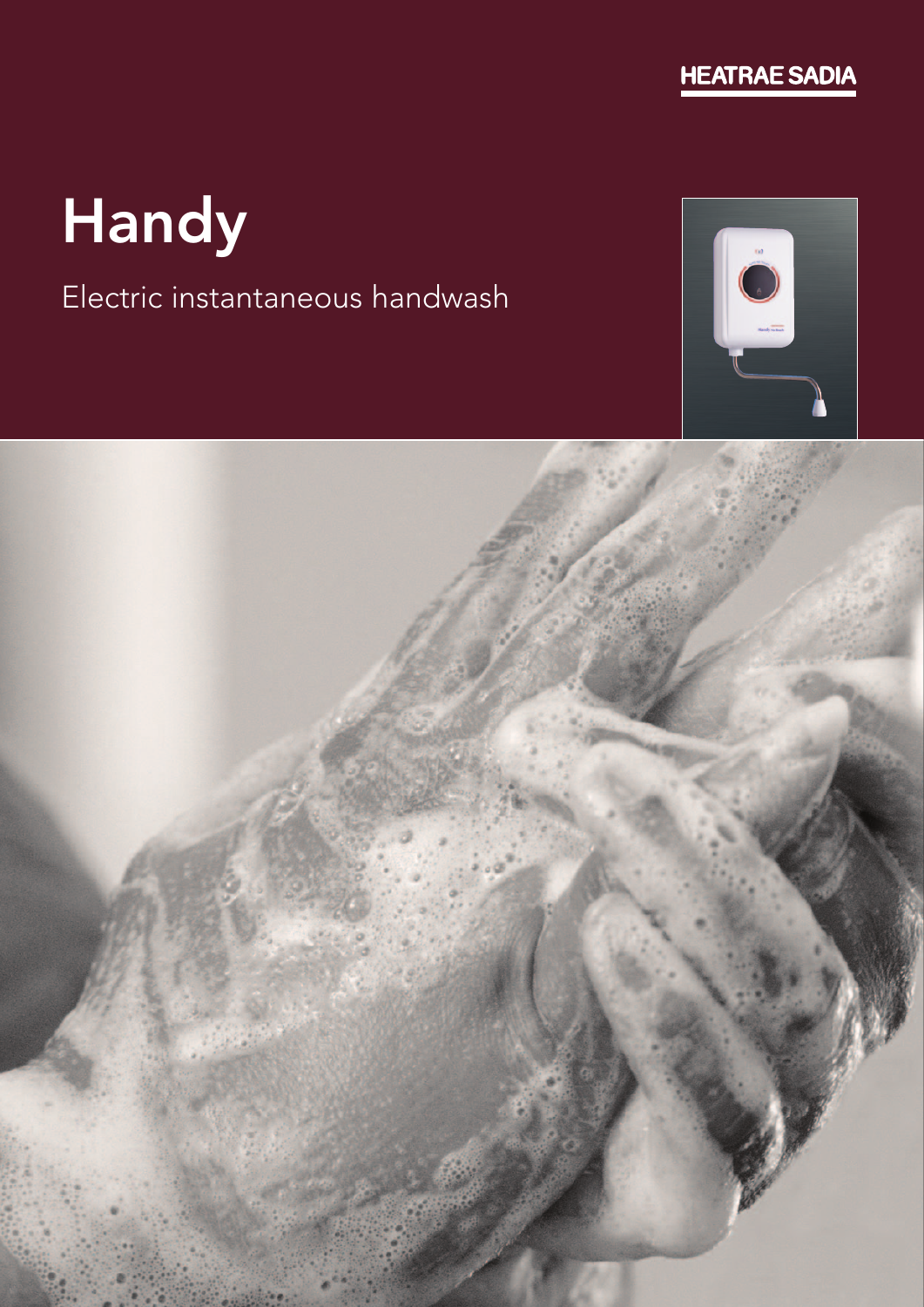

# Handy

## Electric instantaneous handwash



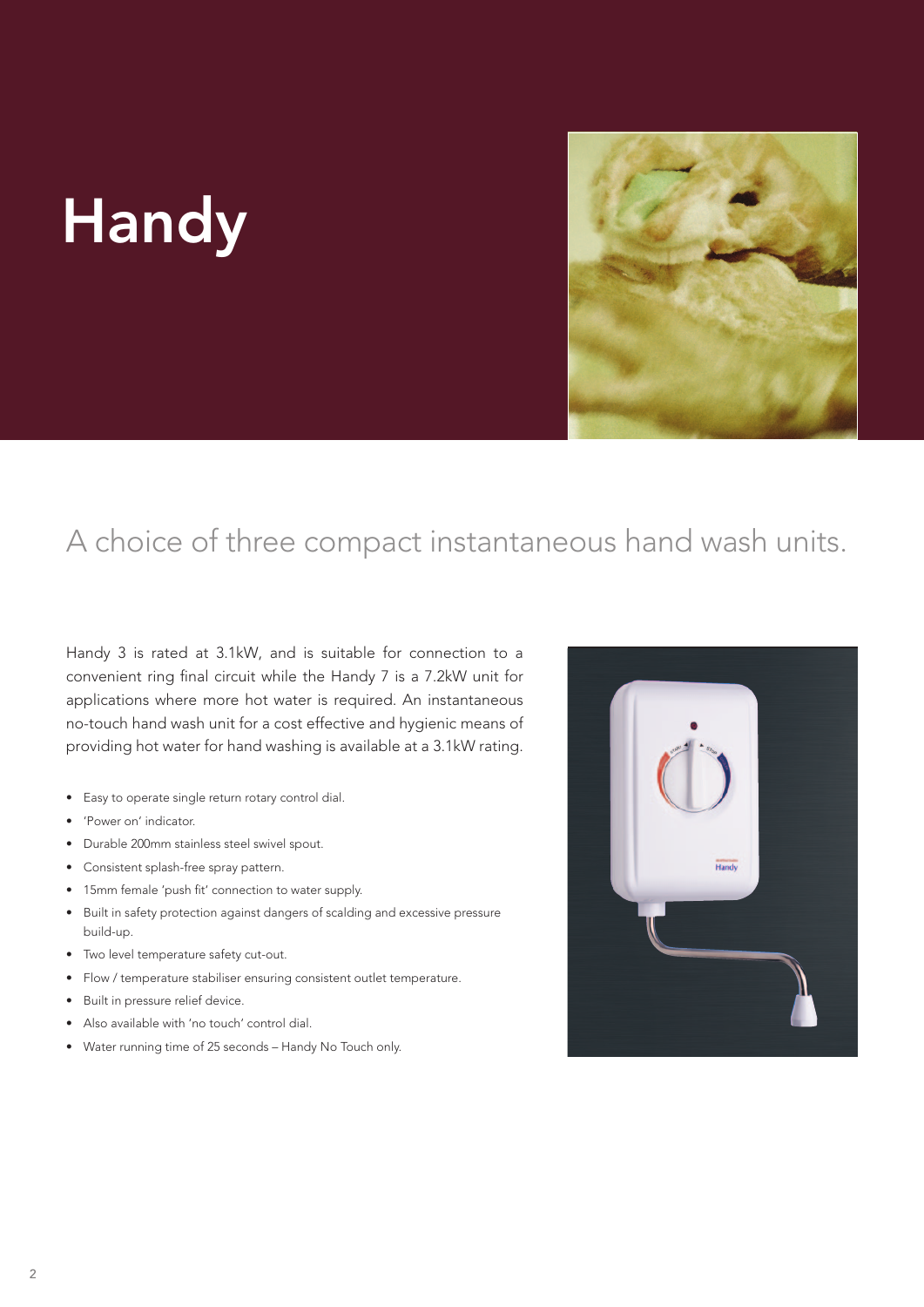## Handy



## A choice of three compact instantaneous hand wash units.

Handy 3 is rated at 3.1kW, and is suitable for connection to a convenient ring final circuit while the Handy 7 is a 7.2kW unit for applications where more hot water is required. An instantaneous no-touch hand wash unit for a cost effective and hygienic means of providing hot water for hand washing is available at a 3.1kW rating.

- • Easy to operate single return rotary control dial.
- • 'Power on' indicator.
- • Durable 200mm stainless steel swivel spout.
- • Consistent splash-free spray pattern.
- • 15mm female 'push fit' connection to water supply.
- Built in safety protection against dangers of scalding and excessive pressure build-up.
- • Two level temperature safety cut-out.
- • Flow / temperature stabiliser ensuring consistent outlet temperature.
- Built in pressure relief device.
- • Also available with 'no touch' control dial.
- • Water running time of 25 seconds Handy No Touch only.

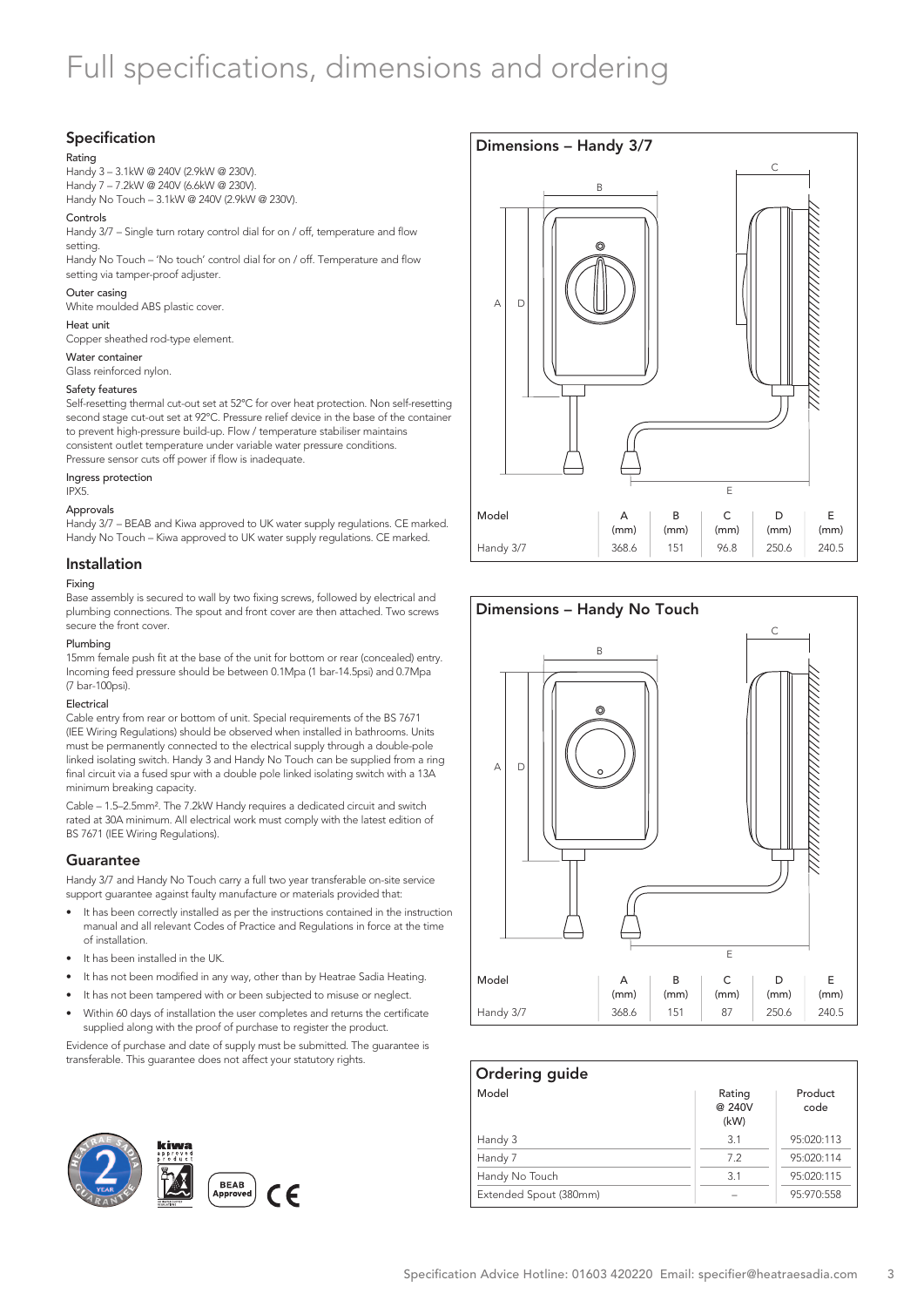## Full specifications, dimensions and ordering

#### Specification

#### Rating

Handy 3 – 3.1kW @ 240V (2.9kW @ 230V). Handy 7 – 7.2kW @ 240V (6.6kW @ 230V).

Handy No Touch – 3.1kW @ 240V (2.9kW @ 230V).

#### Controls

Handy 3/7 – Single turn rotary control dial for on / off, temperature and flow setting.

Handy No Touch – 'No touch' control dial for on / off. Temperature and flow setting via tamper-proof adjuster.

#### Outer casing

White moulded ABS plastic cover.

#### Heat unit

Copper sheathed rod-type element.

#### Water container Glass reinforced nylon.

Safety features

Self-resetting thermal cut-out set at 52°C for over heat protection. Non self-resetting second stage cut-out set at 92°C. Pressure relief device in the base of the container to prevent high-pressure build-up. Flow / temperature stabiliser maintains consistent outlet temperature under variable water pressure conditions. Pressure sensor cuts off power if flow is inadequate.

#### Ingress protection IPX5.

#### Approvals

Handy 3/7 – BEAB and Kiwa approved to UK water supply regulations. CE marked. Handy No Touch – Kiwa approved to UK water supply regulations. CE marked.

#### Installation

#### Fixing

Base assembly is secured to wall by two fixing screws, followed by electrical and plumbing connections. The spout and front cover are then attached. Two screws secure the front cover.

#### Plumbing

15mm female push fit at the base of the unit for bottom or rear (concealed) entry. Incoming feed pressure should be between 0.1Mpa (1 bar-14.5psi) and 0.7Mpa (7 bar-100psi).

#### Electrical

Cable entry from rear or bottom of unit. Special requirements of the BS 7671 (IEE Wiring Regulations) should be observed when installed in bathrooms. Units must be permanently connected to the electrical supply through a double-pole linked isolating switch. Handy 3 and Handy No Touch can be supplied from a ring final circuit via a fused spur with a double pole linked isolating switch with a 13A minimum breaking capacity.

Cable – 1.5–2.5mm². The 7.2kW Handy requires a dedicated circuit and switch rated at 30A minimum. All electrical work must comply with the latest edition of BS 7671 (IEE Wiring Regulations).

#### **Guarantee**

Handy 3/7 and Handy No Touch carry a full two year transferable on-site service support guarantee against faulty manufacture or materials provided that:

- It has been correctly installed as per the instructions contained in the instruction manual and all relevant Codes of Practice and Regulations in force at the time of installation.
- It has been installed in the UK.
- It has not been modified in any way, other than by Heatrae Sadia Heating.
- It has not been tampered with or been subjected to misuse or neglect.
- Within 60 days of installation the user completes and returns the certificate supplied along with the proof of purchase to register the product.

Evidence of purchase and date of supply must be submitted. The guarantee is transferable. This guarantee does not affect your statutory rights.



### Dimensions – Handy 3/7 Model Handy 3/7 E (mm) 240.5 C (mm) 96.8 B (mm) 151 A (mm) 368.6 D (mm) 250.6  $A \cap D$ B  $\sqrt{2}$ E



| Ordering guide         |                          |                 |
|------------------------|--------------------------|-----------------|
| Model                  | Rating<br>@ 240V<br>(kW) | Product<br>code |
| Handy 3                | 3.1                      | 95:020:113      |
| Handy 7                | 7.2                      | 95:020:114      |
| Handy No Touch         | 3.1                      | 95:020:115      |
| Extended Spout (380mm) |                          | 95:970:558      |